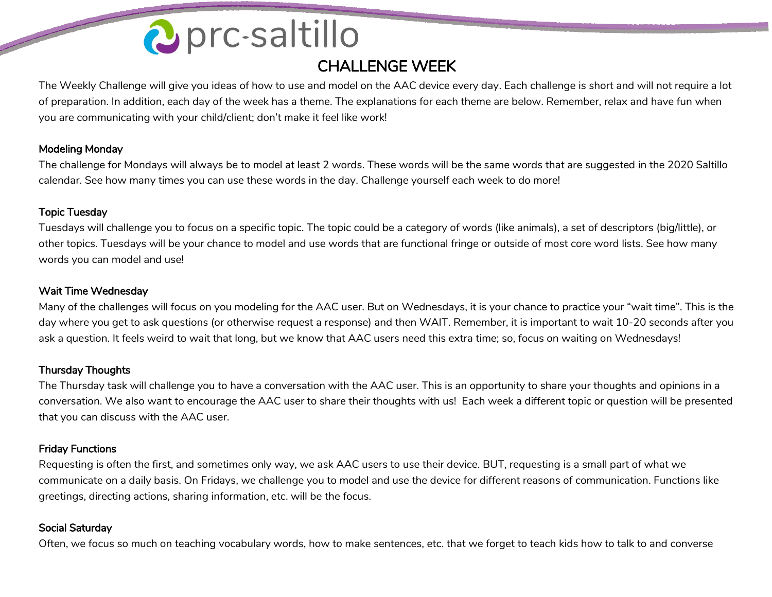# 2 prc-saltillo

### CHALLENGE WEEK

The Weekly Challenge will give you ideas of how to use and model on the AAC device every day. Each challenge is short and will not require a lot of preparation. In addition, each day of the week has a theme. The explanations for each theme are below. Remember, relax and have fun when you are communicating with your child/client; don't make it feel like work!

#### Modeling Monday

The challenge for Mondays will always be to model at least 2 words. These words will be the same words that are suggested in the 2020 Saltillo calendar. See how many times you can use these words in the day. Challenge yourself each week to do more!

#### Topic Tuesday

Tuesdays will challenge you to focus on a specific topic. The topic could be a category of words (like animals), a set of descriptors (big/little), or other topics. Tuesdays will be your chance to model and use words that are functional fringe or outside of most core word lists. See how many words you can model and use!

#### Wait Time Wednesday

Many of the challenges will focus on you modeling for the AAC user. But on Wednesdays, it is your chance to practice your "wait time". This is the day where you get to ask questions (or otherwise request a response) and then WAIT. Remember, it is important to wait 10-20 seconds after you ask a question. It feels weird to wait that long, but we know that AAC users need this extra time; so, focus on waiting on Wednesdays!

#### Thursday Thoughts

The Thursday task will challenge you to have a conversation with the AAC user. This is an opportunity to share your thoughts and opinions in a conversation. We also want to encourage the AAC user to share their thoughts with us! Each week a different topic or question will be presented that you can discuss with the AAC user.

#### Friday Functions

Requesting is often the first, and sometimes only way, we ask AAC users to use their device. BUT, requesting is a small part of what we communicate on a daily basis. On Fridays, we challenge you to model and use the device for different reasons of communication. Functions like greetings, directing actions, sharing information, etc. will be the focus.

#### Social Saturday

Often, we focus so much on teaching vocabulary words, how to make sentences, etc. that we forget to teach kids how to talk to and converse